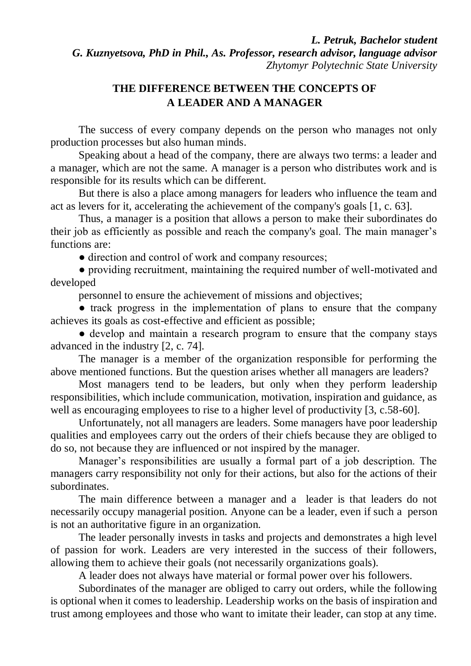*L. Petruk, Bachelor student G. Kuznyetsova, PhD in Phil., As. Professor, research advisor, language advisor Zhytomyr Polytechnic State University*

## **THE DIFFERENCE BETWEEN THE CONCEPTS OF A LEADER AND A MANAGER**

The success of every company depends on the person who manages not only production processes but also human minds.

Speaking about a head of the company, there are always two terms: a leader and a manager, which are not the same. A manager is a person who distributes work and is responsible for its results which can be different.

But there is also a place among managers for leaders who influence the team and act as levers for it, accelerating the achievement of the company's goals [1, c. 63].

Thus, a manager is a position that allows a person to make their subordinates do their job as efficiently as possible and reach the company's goal. The main manager's functions are:

• direction and control of work and company resources;

● providing recruitment, maintaining the required number of well-motivated and developed

personnel to ensure the achievement of missions and objectives;

● track progress in the implementation of plans to ensure that the company achieves its goals as cost-effective and efficient as possible;

• develop and maintain a research program to ensure that the company stays advanced in the industry [2, c. 74].

The manager is a member of the organization responsible for performing the above mentioned functions. But the question arises whether all managers are leaders?

Most managers tend to be leaders, but only when they perform leadership responsibilities, which include communication, motivation, inspiration and guidance, as well as encouraging employees to rise to a higher level of productivity [3, c.58-60].

Unfortunately, not all managers are leaders. Some managers have poor leadership qualities and employees carry out the orders of their chiefs because they are obliged to do so, not because they are influenced or not inspired by the manager.

Manager's responsibilities are usually a formal part of a job description. The managers carry responsibility not only for their actions, but also for the actions of their subordinates.

The main difference between a manager and a leader is that leaders do not necessarily occupy managerial position. Anyone can be a leader, even if such a person is not an authoritative figure in an organization.

The leader personally invests in tasks and projects and demonstrates a high level of passion for work. Leaders are very interested in the success of their followers, allowing them to achieve their goals (not necessarily organizations goals).

A leader does not always have material or formal power over his followers.

Subordinates of the manager are obliged to carry out orders, while the following is optional when it comes to leadership. Leadership works on the basis of inspiration and trust among employees and those who want to imitate their leader, can stop at any time.